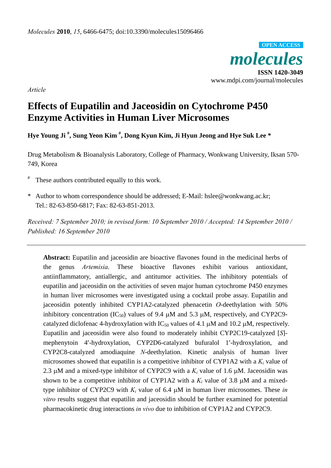*molecules*  **ISSN 1420-3049**  www.mdpi.com/journal/molecules **OPEN ACCESS**

*Article*

# **Effects of Eupatilin and Jaceosidin on Cytochrome P450 Enzyme Activities in Human Liver Microsomes**

**Hye Young Ji # , Sung Yeon Kim # , Dong Kyun Kim, Ji Hyun Jeong and Hye Suk Lee \*** 

Drug Metabolism & Bioanalysis Laboratory, College of Pharmacy, Wonkwang University, Iksan 570- 749, Korea

- # These authors contributed equally to this work.
- \* Author to whom correspondence should be addressed; E-Mail: hslee@wonkwang.ac.kr; Tel.: 82-63-850-6817; Fax: 82-63-851-2013.

*Received: 7 September 2010; in revised form: 10 September 2010 / Accepted: 14 September 2010 / Published: 16 September 2010* 

**Abstract:** Eupatilin and jaceosidin are bioactive flavones found in the medicinal herbs of the genus *Artemisia*. These bioactive flavones exhibit various antioxidant, antiinflammatory, antiallergic, and antitumor activities. The inhibitory potentials of eupatilin and jaceosidin on the activities of seven major human cytochrome P450 enzymes in human liver microsomes were investigated using a cocktail probe assay. Eupatilin and jaceosidin potently inhibited CYP1A2-catalyzed phenacetin *O*-deethylation with 50% inhibitory concentration (IC<sub>50</sub>) values of 9.4  $\mu$ M and 5.3  $\mu$ M, respectively, and CYP2C9catalyzed diclofenac 4-hydroxylation with  $IC_{50}$  values of 4.1  $\mu$ M and 10.2  $\mu$ M, respectively. Eupatilin and jaceosidin were also found to moderately inhibit CYP2C19-catalyzed [*S*] mephenytoin 4′-hydroxylation, CYP2D6-catalyzed bufuralol 1′-hydroxylation, and CYP2C8-catalyzed amodiaquine *N*-deethylation. Kinetic analysis of human liver microsomes showed that eupatilin is a competitive inhibitor of CYP1A2 with a  $K_i$  value of 2.3 μM and a mixed-type inhibitor of CYP2C9 with a  $K_i$  value of 1.6 μM. Jaceosidin was shown to be a competitive inhibitor of CYP1A2 with a  $K_i$  value of 3.8  $\mu$ M and a mixedtype inhibitor of CYP2C9 with  $K_i$  value of 6.4  $\mu$ M in human liver microsomes. These *in vitro* results suggest that eupatilin and jaceosidin should be further examined for potential pharmacokinetic drug interactions *in vivo* due to inhibition of CYP1A2 and CYP2C9.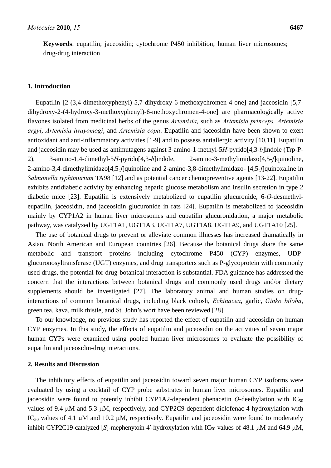**Keywords**: eupatilin; jaceosidin; cytochrome P450 inhibition; human liver microsomes; drug-drug interaction

## **1. Introduction**

Eupatilin [2-(3,4-dimethoxyphenyl)-5,7-dihydroxy-6-methoxychromen-4-one] and jaceosidin [5,7 dihydroxy-2-(4-hydroxy-3-methoxyphenyl)-6-methoxychromen-4-one] are pharmacologically active flavones isolated from medicinal herbs of the genus *Artemisia*, such as *Artemisia princeps, Artemisia argyi*, *Artemisia iwayomogi*, and *Artemisia copa*. Eupatilin and jaceosidin have been shown to exert antioxidant and anti-inflammatory activities [1-9] and to possess antiallergic activity [10,11]. Eupatilin and jaceosidin may be used as antimutagens against 3-amino-1-methyl-5*H*-pyrido[4,3-*b*]indole (Trp-P-2), 3-amino-1,4-dimethyl-5*H*-pyrido[4,3-*b*]indole, 2-amino-3-methylimidazo[4,5-*f*]quinoline, 2-amino-3,4-dimethylimidazo[4,5-*f*]quinoline and 2-amino-3,8-dimethylimidazo- [4,5-*f*]quinoxaline in *Salmonella typhimurium* TA98 [12] and as potential cancer chemopreventive agents [13-22]. Eupatilin exhibits antidiabetic activity by enhancing hepatic glucose metabolism and insulin secretion in type 2 diabetic mice [23]. Eupatilin is extensively metabolized to eupatilin glucuronide, 6-*O*-desmethyleupatilin, jaceosidin, and jaceosidin glucuronide in rats [24]. Eupatilin is metabolized to jaceosidin mainly by CYP1A2 in human liver microsomes and eupatilin glucuronidation, a major metabolic pathway, was catalyzed by UGT1A1, UGT1A3, UGT1A7, UGT1A8, UGT1A9, and UGT1A10 [25].

The use of botanical drugs to prevent or alleviate common illnesses has increased dramatically in Asian, North American and European countries [26]. Because the botanical drugs share the same metabolic and transport proteins including cytochrome P450 (CYP) enzymes, UDPglucuronosyltransferase (UGT) enzymes, and drug transporters such as P-glycoprotein with commonly used drugs, the potential for drug-botanical interaction is substantial. FDA guidance has addressed the concern that the interactions between botanical drugs and commonly used drugs and/or dietary supplements should be investigated [27]. The laboratory animal and human studies on druginteractions of common botanical drugs, including black cohosh, *Echinacea*, garlic, *Ginko biloba*, green tea, kava, milk thistle, and St. John's wort have been reviewed [28].

To our knowledge, no previous study has reported the effect of eupatilin and jaceosidin on human CYP enzymes. In this study, the effects of eupatilin and jaceosidin on the activities of seven major human CYPs were examined using pooled human liver microsomes to evaluate the possibility of eupatilin and jaceosidin-drug interactions.

## **2. Results and Discussion**

The inhibitory effects of eupatilin and jaceosidin toward seven major human CYP isoforms were evaluated by using a cocktail of CYP probe substrates in human liver microsomes. Eupatilin and jaceosidin were found to potently inhibit CYP1A2-dependent phenacetin O-deethylation with  $IC_{50}$ values of 9.4 μM and 5.3 μM, respectively, and CYP2C9-dependent diclofenac 4-hydroxylation with IC<sub>50</sub> values of 4.1 μM and 10.2 μM, respectively. Eupatilin and jaceosidin were found to moderately inhibit CYP2C19-catalyzed [*S*]-mephenytoin 4'-hydroxylation with  $IC_{50}$  values of 48.1  $\mu$ M and 64.9  $\mu$ M,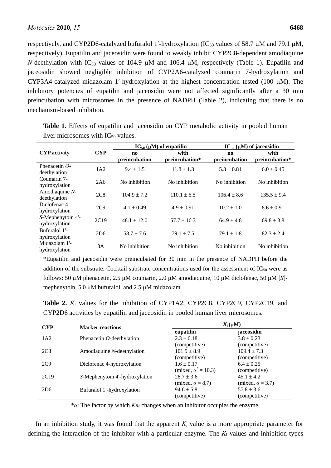respectively, and CYP2D6-catalyzed bufuralol 1'-hydroxylation (IC<sub>50</sub> values of 58.7 μM and 79.1 μM, respectively). Eupatilin and jaceosidin were found to weakly inhibit CYP2C8-dependent amodiaquine *N*-deethylation with  $IC_{50}$  values of 104.9  $\mu$ M and 106.4  $\mu$ M, respectively (Table 1). Eupatilin and jaceosidin showed negligible inhibition of CYP2A6-catalyzed coumarin 7-hydroxylation and CYP3A4-catalyzed midazolam 1'-hydroxylation at the highest concentration tested (100  $\mu$ M). The inhibitory potencies of eupatilin and jaceosidin were not affected significantly after a 30 min preincubation with microsomes in the presence of NADPH (Table 2), indicating that there is no mechanism-based inhibition.

|                                                                                                                                                                                                                | <b>CYP</b> | $IC_{50} (\mu M)$ of eupatilin          |                        | $IC_{50} (\mu M)$ of jaceosidin         |                        |
|----------------------------------------------------------------------------------------------------------------------------------------------------------------------------------------------------------------|------------|-----------------------------------------|------------------------|-----------------------------------------|------------------------|
| <b>CYP</b> activity                                                                                                                                                                                            |            | $\mathbf{n}\mathbf{o}$<br>preincubation | with<br>preincubation* | $\mathbf{n}\mathbf{o}$<br>preincubation | with<br>preincubation* |
| Phenacetin $O$ -<br>deethylation<br>Coumarin 7-<br>hydroxylation<br>Amodiaquine $N-$<br>deethylation<br>Diclofenac 4-<br>hydroxylation<br>S-Mephenytoin 4'-<br>hydroxylation<br>Bufuralol 1'-<br>hydroxylation | 1A2        | $9.4 \pm 1.5$                           | $11.8 \pm 1.3$         | $5.3 \pm 0.81$                          | $6.0 \pm 0.45$         |
|                                                                                                                                                                                                                | 2A6        | No inhibition                           | No inhibition          | No inhibition                           | No inhibition          |
|                                                                                                                                                                                                                | 2C8        | $104.9 \pm 7.2$                         | $110.1 \pm 6.5$        | $106.4 + 8.6$                           | $135.5 \pm 9.4$        |
|                                                                                                                                                                                                                | 2C9        | $4.1 \pm 0.49$                          | $4.9 \pm 0.91$         | $10.2 \pm 1.0$                          | $8.6 \pm 0.91$         |
|                                                                                                                                                                                                                | 2C19       | $48.1 \pm 12.0$                         | $57.7 \pm 16.3$        | $64.9 \pm 4.8$                          | $69.8 \pm 3.8$         |
|                                                                                                                                                                                                                | 2D6        | $58.7 \pm 7.6$                          | $79.1 \pm 7.5$         | $79.1 \pm 1.8$                          | $82.3 \pm 2.4$         |
| Midazolam 1'-<br>hydroxylation                                                                                                                                                                                 | 3A         | No inhibition                           | No inhibition          | No inhibition                           | No inhibition          |

**Table 1.** Effects of eupatilin and jaceosidin on CYP metabolic activity in pooled human liver microsomes with  $IC_{50}$  values.

\*Eupatilin and jaceosidin were preincubated for 30 min in the presence of NADPH before the addition of the substrate. Cocktail substrate concentrations used for the assessment of  $IC_{50}$  were as follows: 50 μM phenacetin, 2.5 μM coumarin, 2.0 μM amodiaquine, 10 μM diclofenac, 50 μM [*S*] mephenytoin, 5.0 μM bufuralol, and 2.5 μM midazolam.

**Table 2.**  $K_i$  values for the inhibition of CYP1A2, CYP2C8, CYP2C9, CYP2C19, and CYP2D6 activities by eupatilin and jaceosidin in pooled human liver microsomes.

| <b>CYP</b>       | <b>Marker reactions</b>        | $K_i(\mu M)$                |                         |  |
|------------------|--------------------------------|-----------------------------|-------------------------|--|
|                  |                                | eupatilin                   | jaceosidin              |  |
| 1A2              | Phenacetin O-deethylation      | $2.3 \pm 0.18$              | $3.8 \pm 0.23$          |  |
|                  |                                | (competitive)               | (competitive)           |  |
| 2C8              | Amodiaquine N-deethylation     | $101.9 \pm 8.9$             | $109.4 \pm 7.3$         |  |
|                  |                                | (competitive)               | (competitive)           |  |
| 2C9              | Diclofenac 4-hydroxylation     | $1.6 \pm 0.17$              | $6.4 \pm 0.25$          |  |
|                  |                                | (mixed, $\alpha^* = 10.3$ ) | (competitive)           |  |
| 2C <sub>19</sub> | S-Mephenytoin 4'-hydroxylation | $28.7 \pm 3.6$              | $45.1 \pm 4.2$          |  |
|                  |                                | (mixed, $\alpha = 8.7$ )    | (mixed, $\alpha$ = 3.7) |  |
| 2D6              | Bufuralol 1'-hydroxylation     | $94.6 \pm 5.8$              | $57.8 \pm 3.6$          |  |
|                  |                                | (competitive)               | (competitive)           |  |

\**α*: The factor by which *Km* changes when an inhibitor occupies the enzyme.

In an inhibition study, it was found that the apparent  $K_i$  value is a more appropriate parameter for defining the interaction of the inhibitor with a particular enzyme. The *K*i values and inhibition types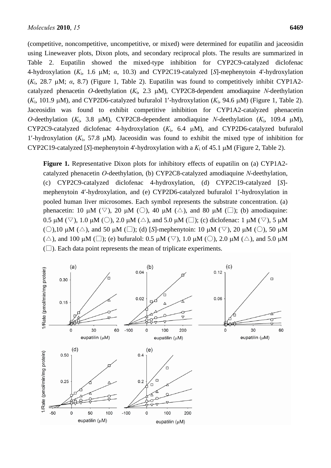(competitive, noncompetitive, uncompetitive, or mixed) were determined for eupatilin and jaceosidin using Lineweaver plots, Dixon plots, and secondary reciprocal plots. The results are summarized in Table 2. Eupatilin showed the mixed-type inhibition for CYP2C9-catalyzed diclofenac 4-hydroxylation (*K*i, 1.6 μM; *α*, 10.3) and CYP2C19-catalyzed [*S*]-mephenytoin 4'-hydroxylation (*K*i, 28.7 μM; *α*, 8.7) (Figure 1, Table 2). Eupatilin was found to competitively inhibit CYP1A2 catalyzed phenacetin *O*-deethylation (*K*i, 2.3 μM), CYP2C8-dependent amodiaquine *N*-deethylation (*K*i, 101.9 μM), and CYP2D6-catalyzed bufuralol 1′-hydroxylation (*K*i, 94.6 μM) (Figure 1, Table 2). Jaceosidin was found to exhibit competitive inhibition for CYP1A2-catalyzed phenacetin *O*-deethylation (*K*i, 3.8 μM), CYP2C8-dependent amodiaquine *N*-deethylation (*K*i, 109.4 μM), CYP2C9-catalyzed diclofenac 4-hydroxylation (*K*i, 6.4 μM), and CYP2D6-catalyzed bufuralol 1'-hydroxylation  $(K_i, 57.8 \mu M)$ . Jaceosidin was found to exhibit the mixed type of inhibition for CYP2C19-catalyzed [*S*]-mephenytoin 4'-hydroxylation with a *K*i of 45.1 μM (Figure 2, Table 2).

**Figure 1.** Representative Dixon plots for inhibitory effects of eupatilin on (a) CYP1A2 catalyzed phenacetin *O*-deethylation, (b) CYP2C8-catalyzed amodiaquine *N*-deethylation, (c) CYP2C9-catalyzed diclofenac 4-hydroxylation, (d) CYP2C19-catalyzed [*S*] mephenytoin 4′-hydroxylation, and (e) CYP2D6-catalyzed bufuralol 1′-hydroxylation in pooled human liver microsomes. Each symbol represents the substrate concentration. (a) phenacetin: 10 μM ( $\nabla$ ), 20 μM ( $\bigcirc$ ), 40 μM ( $\triangle$ ), and 80 μM ( $\square$ ); (b) amodiaquine: 0.5 μM ( $\triangledown$ ), 1.0 μM ( $\bigcirc$ ), 2.0 μM ( $\triangle$ ), and 5.0 μM ( $\Box$ ); (c) diclofenac: 1 μM ( $\triangledown$ ), 5 μM (○),10  $\mu$ M (△), and 50  $\mu$ M (□); (d) [S]-mephenytoin: 10  $\mu$ M (▽), 20  $\mu$ M (○), 50  $\mu$ M ( $\triangle$ ), and 100 μM ( $\square$ ); (e) bufuralol: 0.5 μM ( $\triangledown$ ), 1.0 μM ( $\bigcirc$ ), 2.0 μM ( $\triangle$ ), and 5.0 μM  $(\Box)$ . Each data point represents the mean of triplicate experiments.

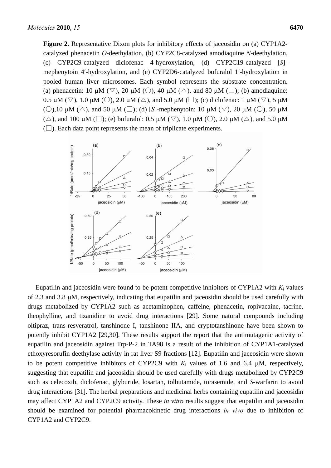**Figure 2.** Representative Dixon plots for inhibitory effects of jaceosidin on (a) CYP1A2 catalyzed phenacetin *O*-deethylation, (b) CYP2C8-catalyzed amodiaquine *N*-deethylation, (c) CYP2C9-catalyzed diclofenac 4-hydroxylation, (d) CYP2C19-catalyzed [*S*] mephenytoin 4′-hydroxylation, and (e) CYP2D6-catalyzed bufuralol 1′-hydroxylation in pooled human liver microsomes. Each symbol represents the substrate concentration. (a) phenacetin: 10  $\mu$ M ( $\heartsuit$ ), 20  $\mu$ M ( $\bigcirc$ ), 40  $\mu$ M ( $\triangle$ ), and 80  $\mu$ M ( $\Box$ ); (b) amodiaquine: 0.5 μM ( $\triangledown$ ), 1.0 μM ( $\bigcirc$ ), 2.0 μM ( $\triangle$ ), and 5.0 μM ( $\square$ ); (c) diclofenac: 1 μM ( $\triangledown$ ), 5 μM (○),10  $\mu$ M (△), and 50  $\mu$ M (□); (d) [S]-mephenytoin: 10  $\mu$ M (▽), 20  $\mu$ M (○), 50  $\mu$ M ( $\triangle$ ), and 100 μM ( $\square$ ); (e) bufuralol: 0.5 μM ( $\triangledown$ ), 1.0 μM ( $\bigcirc$ ), 2.0 μM ( $\triangle$ ), and 5.0 μM  $(\Box)$ . Each data point represents the mean of triplicate experiments.



Eupatilin and jaceosidin were found to be potent competitive inhibitors of CYP1A2 with  $K_i$  values of 2.3 and 3.8 μM, respectively, indicating that eupatilin and jaceosidin should be used carefully with drugs metabolized by CYP1A2 such as acetaminophen, caffeine, phenacetin, ropivacaine, tacrine, theophylline, and tizanidine to avoid drug interactions [29]. Some natural compounds including oltipraz, trans-resveratrol, tanshinone I, tanshinone IIA, and cryptotanshinone have been shown to potently inhibit CYP1A2 [29,30]. These results support the report that the antimutagenic activity of eupatilin and jaceosidin against Trp-P-2 in TA98 is a result of the inhibition of CYP1A1-catalyzed ethoxyresorufin deethylase activity in rat liver S9 fractions [12]. Eupatilin and jaceosidin were shown to be potent competitive inhibitors of CYP2C9 with  $K_i$  values of 1.6 and 6.4  $\mu$ M, respectively, suggesting that eupatilin and jaceosidin should be used carefully with drugs metabolized by CYP2C9 such as celecoxib, diclofenac, glyburide, losartan, tolbutamide, torasemide, and *S*-warfarin to avoid drug interactions [31]. The herbal preparations and medicinal herbs containing eupatilin and jaceosidin may affect CYP1A2 and CYP2C9 activity. These *in vitro* results suggest that eupatilin and jaceosidin should be examined for potential pharmacokinetic drug interactions *in vivo* due to inhibition of CYP1A2 and CYP2C9.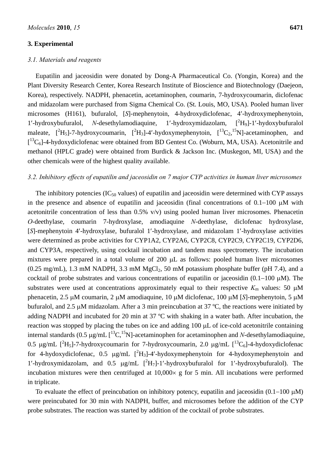#### **3. Experimental**

## *3.1. Materials and reagents*

Eupatilin and jaceosidin were donated by Dong-A Pharmaceutical Co. (Yongin, Korea) and the Plant Diversity Research Center, Korea Research Institute of Bioscience and Biotechnology (Daejeon, Korea), respectively. NADPH, phenacetin, acetaminophen, coumarin, 7-hydroxycoumarin, diclofenac and midazolam were purchased from Sigma Chemical Co. (St. Louis, MO, USA). Pooled human liver microsomes (H161), bufuralol, [*S*]-mephenytoin, 4-hydroxydiclofenac, 4′-hydroxymephenytoin, 1'-hydroxybufuralol, *N*-desethylamodiaquine, 1'-hydroxymidazolam, [<sup>2</sup>H<sub>9</sub>]-1'-hydoxybufuralol maleate,  $[^{2}H_{5}]$ -7-hydroxycoumarin,  $[^{2}H_{3}]$ -4'-hydoxymephenytoin,  $[^{13}C_{2},^{15}N]$ -acetaminophen, and [<sup>13</sup>C<sub>6</sub>]-4-hydoxydiclofenac were obtained from BD Gentest Co. (Woburn, MA, USA). Acetonitrile and methanol (HPLC grade) were obtained from Burdick & Jackson Inc. (Muskegon, MI, USA) and the other chemicals were of the highest quality available.

#### *3.2. Inhibitory effects of eupatilin and jaceosidin on 7 major CYP activities in human liver microsomes*

The inhibitory potencies ( $IC_{50}$  values) of eupatilin and jaceosidin were determined with CYP assays in the presence and absence of eupatilin and jaceosidin (final concentrations of 0.1−100 μM with acetonitrile concentration of less than  $0.5\%$  v/v) using pooled human liver microsomes. Phenacetin *O*-deethylase, coumarin 7-hydroxylase, amodiaquine *N*-deethylase, diclofenac hydroxylase, [*S*]-mephenytoin 4′-hydroxylase, bufuralol 1′-hydroxylase, and midazolam 1′-hydroxylase activities were determined as probe activities for CYP1A2, CYP2A6, CYP2C8, CYP2C9, CYP2C19, CYP2D6, and CYP3A, respectively, using cocktail incubation and tandem mass spectrometry. The incubation mixtures were prepared in a total volume of 200 μL as follows: pooled human liver microsomes  $(0.25 \text{ mg/mL})$ , 1.3 mM NADPH, 3.3 mM MgCl<sub>2</sub>, 50 mM potassium phosphate buffer (pH 7.4), and a cocktail of probe substrates and various concentrations of eupatilin or jaceosidin (0.1−100 μM). The substrates were used at concentrations approximately equal to their respective  $K<sub>m</sub>$  values: 50  $\mu$ M phenacetin, 2.5 μM coumarin, 2 μM amodiaquine, 10 μM diclofenac, 100 μM [*S*]-mephenytoin, 5 μM bufuralol, and 2.5 μM midazolam. After a 3 min preincubation at 37 ºC, the reactions were initiated by adding NADPH and incubated for 20 min at 37 ºC with shaking in a water bath. After incubation, the reaction was stopped by placing the tubes on ice and adding 100 μL of ice-cold acetonitrile containing internal standards (0.5  $\mu$ g/mL  $\int^{13}C$ ,<sup>15</sup>N]-acetaminophen for acetaminophen and *N*-desethylamodiaquine, 0.5 μg/mL  $[^{2}H_{5}]$ -7-hydroxycoumarin for 7-hydroxycoumarin, 2.0 μg/mL  $[^{13}C_{6}]$ -4-hydoxydiclofenac for 4-hydoxydiclofenac, 0.5  $\mu$ g/mL  $[^2H_3]$ -4'-hydoxymephenytoin for 4-hydoxymephenytoin and 1'-hydroxymidazolam, and  $0.5 \mu g/mL [^2H_7]-1'$ -hydroxybufuralol for 1'-hydroxybufuralol). The incubation mixtures were then centrifuged at  $10,000 \times g$  for 5 min. All incubations were performed in triplicate.

To evaluate the effect of preincubation on inhibitory potency, eupatilin and jaceosidin (0.1−100 μM) were preincubated for 30 min with NADPH, buffer, and microsomes before the addition of the CYP probe substrates. The reaction was started by addition of the cocktail of probe substrates.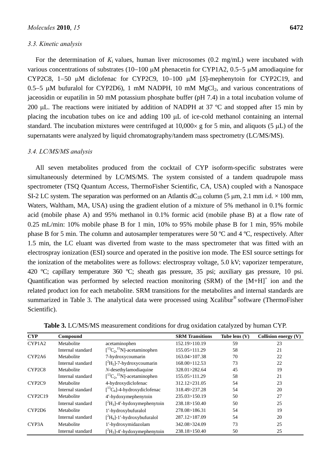#### *3.3. Kinetic analysis*

For the determination of  $K_i$  values, human liver microsomes  $(0.2 \text{ mg/mL})$  were incubated with various concentrations of substrates (10−100 μM phenacetin for CYP1A2, 0.5−5 μM amodiaquine for CYP2C8, 1−50 μM diclofenac for CYP2C9, 10−100 μM [*S*]-mephenytoin for CYP2C19, and 0.5−5 μM bufuralol for CYP2D6), 1 mM NADPH, 10 mM MgCl<sub>2</sub>, and various concentrations of jaceosidin or eupatilin in 50 mM potassium phosphate buffer (pH 7.4) in a total incubation volume of 200 μL. The reactions were initiated by addition of NADPH at 37  $^{\circ}$ C and stopped after 15 min by placing the incubation tubes on ice and adding 100 μL of ice-cold methanol containing an internal standard. The incubation mixtures were centrifuged at  $10,000 \times g$  for 5 min, and aliquots (5 µL) of the supernatants were analyzed by liquid chromatography/tandem mass spectrometry (LC/MS/MS).

### *3.4. LC/MS/MS analysis*

All seven metabolites produced from the cocktail of CYP isoform-specific substrates were simultaneously determined by LC/MS/MS. The system consisted of a tandem quadrupole mass spectrometer (TSQ Quantum Access, ThermoFisher Scientific, CA, USA) coupled with a Nanospace SI-2 LC system. The separation was performed on an Atlantis  $dC_{18}$  column (5 µm, 2.1 mm i.d.  $\times$  100 mm, Waters, Waltham, MA, USA) using the gradient elution of a mixture of 5% methanol in 0.1% formic acid (mobile phase A) and 95% methanol in 0.1% formic acid (mobile phase B) at a flow rate of 0.25 mL/min: 10% mobile phase B for 1 min, 10% to 95% mobile phase B for 1 min, 95% mobile phase B for 5 min. The column and autosampler temperatures were 50 ºC and 4 ºC, respectively. After 1.5 min, the LC eluant was diverted from waste to the mass spectrometer that was fitted with an electrospray ionization (ESI) source and operated in the positive ion mode. The ESI source settings for the ionization of the metabolites were as follows: electrospray voltage, 5.0 kV; vaporizer temperature, 420 ºC; capillary temperature 360 ºC; sheath gas pressure, 35 psi; auxiliary gas pressure, 10 psi. Quantification was performed by selected reaction monitoring (SRM) of the  $[M+H]$ <sup>+</sup> ion and the related product ion for each metabolite. SRM transitions for the metabolites and internal standards are summarized in Table 3. The analytical data were processed using Xcalibur® software (ThermoFisher Scientific).

| <b>CYP</b>                      | Compound          |                                                            | <b>SRM</b> Transitions | Tube lens $(V)$ | Collision energy $(V)$ |
|---------------------------------|-------------------|------------------------------------------------------------|------------------------|-----------------|------------------------|
| CYP1A2                          | Metabolite        | acetaminophen                                              | 152.19>110.19          | 59              | 23                     |
|                                 | Internal standard | $\left[ {}^{13}C_{2} \right]$ , ${}^{15}N$ ]-acetaminophen | 155.05>111.29          | 58              | 21                     |
| CYP2A6                          | Metabolite        | 7-hydroxycoumarin                                          | 163.04>107.38          | 70              | 22                     |
|                                 | Internal standard | $[^2H_5]$ -7-hydroxycoumarin                               | 168.00>112.53          | 73              | 22                     |
| CYP <sub>2</sub> C <sub>8</sub> | Metabolite        | N-desethylamodiaquine                                      | 328.01>282.64          | 45              | 19                     |
|                                 | Internal standard | $\left[ {}^{13}C_{2}, {}^{15}N \right]$ -acetaminophen     | 155.05>111.29          | 58              | 21                     |
| CYP <sub>2</sub> C <sub>9</sub> | Metabolite        | 4-hydroxydiclofenac                                        | 312.12>231.05          | 54              | 23                     |
|                                 | Internal standard | $[^{13}C_6]$ -4-hydroxydiclofenac                          | 318.49>237.28          | 54              | 20                     |
| CYP2C19                         | Metabolite        | 4'-hydoxymephenytoin                                       | 235.03>150.19          | 50              | 27                     |
|                                 | Internal standard | $[^2H_3]$ -4'-hydoxymephenytoin                            | 238.18>150.40          | 50              | 25                     |
| CYP2D <sub>6</sub>              | Metabolite        | 1'-hydroxybufuralol                                        | 278.08>186.31          | 54              | 19                     |
|                                 | Internal standard | $[^2H_9]$ -1'-hydroxybufuralol                             | 287.12>187.09          | 54              | 20                     |
| CYP <sub>3</sub> A              | Metabolite        | 1'-hydroxymidazolam                                        | 342.08>324.09          | 73              | 25                     |
|                                 | Internal standard | $[^2H_3]$ -4'-hydoxymephenytoin                            | 238.18>150.40          | 50              | 25                     |

**Table 3.** LC/MS/MS measurement conditions for drug oxidation catalyzed by human CYP.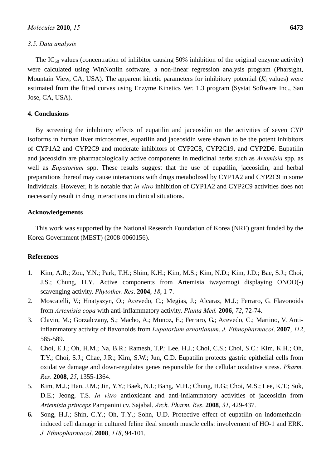#### *3.5. Data analysis*

The IC<sub>50</sub> values (concentration of inhibitor causing 50% inhibition of the original enzyme activity) were calculated using WinNonlin software, a non-linear regression analysis program (Pharsight, Mountain View, CA, USA). The apparent kinetic parameters for inhibitory potential (*K*i values) were estimated from the fitted curves using Enzyme Kinetics Ver. 1.3 program (Systat Software Inc., San Jose, CA, USA).

# **4. Conclusions**

By screening the inhibitory effects of eupatilin and jaceosidin on the activities of seven CYP isoforms in human liver microsomes, eupatilin and jaceosidin were shown to be the potent inhibitors of CYP1A2 and CYP2C9 and moderate inhibitors of CYP2C8, CYP2C19, and CYP2D6. Eupatilin and jaceosidin are pharmacologically active components in medicinal herbs such as *Artemisia* spp. as well as *Eupatorium* spp. These results suggest that the use of eupatilin, jaceosidin, and herbal preparations thereof may cause interactions with drugs metabolized by CYP1A2 and CYP2C9 in some individuals. However, it is notable that *in vitro* inhibition of CYP1A2 and CYP2C9 activities does not necessarily result in drug interactions in clinical situations.

## **Acknowledgements**

This work was supported by the National Research Foundation of Korea (NRF) grant funded by the Korea Government (MEST) (2008-0060156).

## **References**

- 1. Kim, A.R.; Zou, Y.N.; Park, T.H.; Shim, K.H.; Kim, M.S.; Kim, N.D.; Kim, J.D.; Bae, S.J.; Choi, J.S.; Chung, H.Y. Active components from Artemisia iwayomogi displaying ONOO(-) scavenging activity. *Phytother. Res*. **2004**, *18*, 1-7.
- 2. Moscatelli, V.; Hnatyszyn, O.; Acevedo, C.; Megias, J.; Alcaraz, M.J.; Ferraro, G. Flavonoids from *Artemisia copa* with anti-inflammatory activity. *Planta Med.* **2006**, *72*, 72-74.
- 3. Clavin, M.; Gorzalczany, S.; Macho, A.; Munoz, E.; Ferraro, G.; Acevedo, C.; Martino, V. Antiinflammatory activity of flavonoids from *Eupatorium arnottianum*. *J. Ethnopharmacol*. **2007**, *112*, 585-589.
- 4. Choi, E.J.; Oh, H.M.; Na, B.R.; Ramesh, T.P.; Lee, H.J.; Choi, C.S.; Choi, S.C.; Kim, K.H.; Oh, T.Y.; Choi, S.J.; Chae, J.R.; Kim, S.W.; Jun, C.D. Eupatilin protects gastric epithelial cells from oxidative damage and down-regulates genes responsible for the cellular oxidative stress. *Pharm. Res*. **2008**, *25*, 1355-1364.
- 5. Kim, M.J.; Han, J.M.; Jin, Y.Y.; Baek, N.I.; Bang, M.H.; Chung, H.G.; Choi, M.S.; Lee, K.T.; Sok, D.E.; Jeong, T.S. *In vitro* antioxidant and anti-inflammatory activities of jaceosidin from *Artemisia princeps* Pampanini cv. Sajabal. *Arch. Pharm. Res*. **2008**, *31*, 429-437.
- **6.** Song, H.J.; Shin, C.Y.; Oh, T.Y.; Sohn, U.D. Protective effect of eupatilin on indomethacininduced cell damage in cultured feline ileal smooth muscle cells: involvement of HO-1 and ERK. *J. Ethnopharmacol*. **2008**, *118*, 94-101.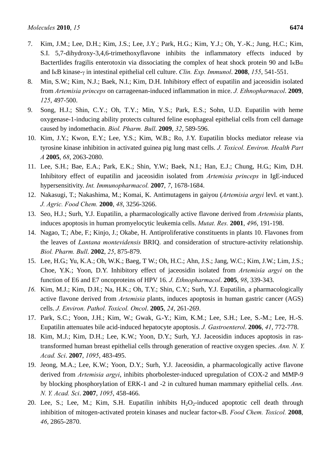- 7. Kim, J.M.; Lee, D.H.; Kim, J.S.; Lee, J.Y.; Park, H.G.; Kim, Y.J.; Oh, Y.-K.; Jung, H.C.; Kim, S.I. 5,7-dihydroxy-3,4,6-trimethoxyflavone inhibits the inflammatory effects induced by Bactertlides fragilis enterotoxin via dissociating the complex of heat shock protein 90 and  $I_{\kappa}B_{\alpha}$ and IκB kinase-γ in intestinal epithelial cell culture. *Clin. Exp. Immunol*. **2008**, *155*, 541-551.
- 8. Min, S.W.; Kim, N.J.; Baek, N.I.; Kim, D.H. Inhibitory effect of eupatilin and jaceosidin isolated from *Artemisia princeps* on carrageenan-induced inflammation in mice. *J. Ethnopharmacol*. **2009**, *125*, 497-500.
- 9. Song, H.J.; Shin, C.Y.; Oh, T.Y.; Min, Y.S.; Park, E.S.; Sohn, U.D. Eupatilin with heme oxygenase-1-inducing ability protects cultured feline esophageal epithelial cells from cell damage caused by indomethacin. *Biol. Pharm. Bull*. **2009**, *32*, 589-596.
- 10. Kim, J.Y.; Kwon, E.Y.; Lee, Y.S.; Kim, W.B.; Ro, J.Y. Eupatilin blocks mediator release via tyrosine kinase inhibition in activated guinea pig lung mast cells. *J. Toxicol. Environ. Health Part A* **2005**, *68*, 2063-2080.
- 11. Lee, S.H.; Bae, E.A.; Park, E.K.; Shin, Y.W.; Baek, N.I.; Han, E.J.; Chung, H.G.; Kim, D.H. Inhibitory effect of eupatilin and jaceosidin isolated from *Artemisia princeps* in IgE-induced hypersensitivity. *Int. Immunopharmacol.* **2007**, *7*, 1678-1684.
- 12. Nakasugi, T.; Nakashima, M.; Komai, K. Antimutagens in gaiyou (*Artemisia argyi* levl. et vant.). *J. Agric. Food Chem.* **2000**, *48*, 3256-3266.
- 13. Seo, H.J.; Surh, Y.J. Eupatilin, a pharmacologically active flavone derived from *Artemisia* plants, induces apoptosis in human promyelocytic leukemia cells. *Mutat. Res.* **2001**, *496*, 191-198.
- 14. Nagao, T.; Abe, F.; Kinjo, J.; Okabe, H. Antiproliferative constituents in plants 10. Flavones from the leaves of *Lantana montevidensis* BRIQ. and consideration of structure-activity relationship. *Biol. Pharm. Bull*. **2002**, *25*, 875-879.
- 15. Lee, H.G.; Yu, K.A.; Oh, W.K.; Baeg, T W.; Oh, H.C.; Ahn, J.S.; Jang, W.C.; Kim, J.W.; Lim, J.S.; Choe, Y.K.; Yoon, D.Y. Inhibitory effect of jaceosidin isolated from *Artemisia argyi* on the function of E6 and E7 oncoproteins of HPV 16. *J. Ethnopharmacol*. **2005**, *98*, 339-343.
- *16.* Kim, M.J.; Kim, D.H.; Na, H.K.; Oh, T.Y.; Shin, C.Y.; Surh, Y.J. Eupatilin, a pharmacologically active flavone derived from *Artemisia* plants, induces apoptosis in human gastric cancer (AGS) cells. *J. Environ. Pathol. Toxicol. Oncol*. **2005**, *24*, 261-269.
- 17. Park, S.C.; Yoon, J.H.; Kim, W.; Gwak, G.-Y.; Kim, K.M.; Lee, S.H.; Lee, S.-M.; Lee, H.-S. Eupatilin attenuates bile acid-induced hepatocyte apoptosis. *J. Gastroenterol*. **2006**, *41*, 772-778.
- 18. Kim, M.J.; Kim, D.H.; Lee, K.W.; Yoon, D.Y.; Surh, Y.J. Jaceosidin induces apoptosis in rastransformed human breast epithelial cells through generation of reactive oxygen species. *Ann. N. Y. Acad. Sci*. **2007**, *1095*, 483-495.
- 19. Jeong, M.A.; Lee, K.W.; Yoon, D.Y.; Surh, Y.J. Jaceosidin, a pharmacologically active flavone derived from *Artemisia argyi*, inhibits phorbolester-induced upregulation of COX-2 and MMP-9 by blocking phosphorylation of ERK-1 and -2 in cultured human mammary epithelial cells. *Ann. N. Y. Acad. Sci*. **2007**, *1095*, 458-466.
- 20. Lee, S.; Lee, M.; Kim, S.H. Eupatilin inhibits  $H_2O_2$ -induced apoptotic cell death through inhibition of mitogen-activated protein kinases and nuclear factor-κB. *Food Chem. Toxicol.* **2008**, *46*, 2865-2870.